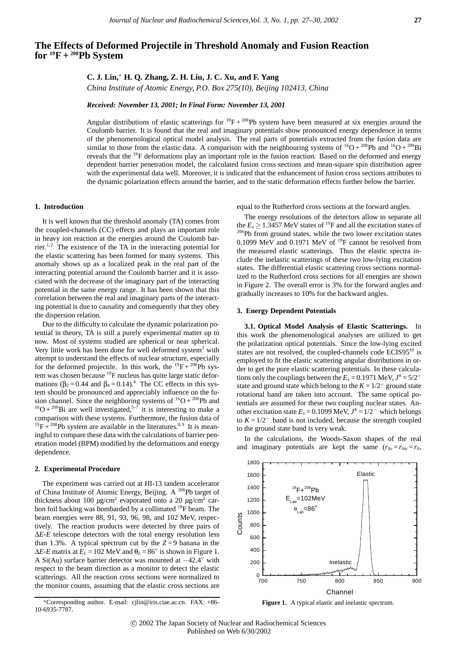# **The Effects of Deformed Projectile in Threshold Anomaly and Fusion Reaction for 19F + 208Pb System**

**C. J. Lin,**<sup>∗</sup> **H. Q. Zhang, Z. H. Liu, J. C. Xu, and F. Yang**

*China Institute of Atomic Energy, P.O. Box 275(10), Beijing 102413, China*

*Received: November 13, 2001; In Final Form: November 13, 2001*

Angular distributions of elastic scatterings for  ${}^{19}F + {}^{208}Pb$  system have been measured at six energies around the Coulomb barrier. It is found that the real and imaginary potentials show pronounced energy dependence in terms of the phenomenological optical model analysis. The real parts of potentials extracted from the fusion data are similar to those from the elastic data. A comparison with the neighbouring systems of  ${}^{16}O + {}^{208}Pb$  and  ${}^{16}O + {}^{209}Bi$ reveals that the 19F deformations play an important role in the fusion reaction. Based on the deformed and energy dependent barrier penetration model, the calculated fusion cross sections and mean-square spin distribution agree with the experimental data well. Moreover, it is indicated that the enhancement of fusion cross sections attributes to the dynamic polarization effects around the barrier, and to the static deformation effects further below the barrier.

## **1. Introduction**

It is well known that the threshold anomaly (TA) comes from the coupled-channels (CC) effects and plays an important role in heavy ion reaction at the energies around the Coulomb barrier.<sup>1,2</sup> The existence of the TA in the interacting potential for the elastic scattering has been formed for many systems. This anomaly shows up as a localized peak in the real part of the interacting potential around the Coulomb barrier and it is associated with the decrease of the imaginary part of the interacting potential in the same energy range. It has been shown that this correlation between the real and imaginary parts of the interacting potential is due to causality and consequently that they obey the dispersion relation.

Due to the difficulty to calculate the dynamic polarization potential in theory, TA is still a purely experimental matter up to now. Most of systems studied are spherical or near spherical. Very little work has been done for well deformed system<sup>3</sup> with attempt to understand the effects of nuclear structure, especially for the deformed projectile. In this work, the  $^{19}F + ^{208}Pb$  system was chosen because <sup>19</sup>F nucleus has quite large static deformations ( $\beta_2 = 0.44$  and  $\beta_4 = 0.14$ ).<sup>4</sup> The CC effects in this system should be pronounced and appreciably influence on the fusion channel. Since the neighboring systems of  ${}^{16}O + {}^{208}Pb$  and  $^{16}O + ^{209}Bi$  are well investigated,<sup>5-7</sup> it is interesting to make a comparison with these systems. Furthermore, the fusion data of  $^{19}F + ^{208}Pb$  system are available in the literatures.<sup>8,9</sup> It is meaningful to compare these data with the calculations of barrier penetration model (BPM) modified by the deformations and energy dependence.

#### **2. Experimental Procedure**

The experiment was carried out at HI-13 tandem accelerator of China Institute of Atomic Energy, Beijing. A 208Pb target of thickness about 100  $\mu$ g/cm<sup>2</sup> evaporated onto a 20  $\mu$ g/cm<sup>2</sup> carbon foil backing was bombarded by a collimated <sup>19</sup>F beam. The beam energies were 88, 91, 93, 96, 98, and 102 MeV, respectively. The reaction products were detected by three pairs of ∆*E-E* telescope detectors with the total energy resolution less than 1.3%. A typical spectrum cut by the  $Z=9$  banana in the  $\Delta E$ -*E* matrix at  $E_L$  = 102 MeV and  $\theta_L$  = 86° is shown in Figure 1. A Si(Au) surface barrier detector was mounted at −42.4◦ with respect to the beam direction as a monitor to detect the elastic scatterings. All the reaction cross sections were normalized to the monitor counts, assuming that the elastic cross sections are equal to the Rutherford cross sections at the forward angles.

The energy resolutions of the detectors allow to separate all the  $E_x \ge 1.3457$  MeV states of <sup>19</sup>F and all the excitation states of <sup>208</sup>Pb from ground states, while the two lower excitation states 0.1099 MeV and 0.1971 MeV of  $^{19}F$  cannot be resolved from the measured elastic scatterings. Thus the elastic spectra include the inelastic scatterings of these two low-lying excitation states. The differential elastic scattering cross sections normalized to the Rutherford cross sections for all energies are shown in Figure 2. The overall error is 3% for the forward angles and gradually increases to 10% for the backward angles.

### **3. Energy Dependent Potentials**

**3.1. Optical Model Analysis of Elastic Scatterings.** In this work the phenomenological analyses are utilized to get the polarization optical potentials. Since the low-lying excited states are not resolved, the coupled-channels code  $ECIS95^{10}$  is employed to fit the elastic scattering angular distributions in order to get the pure elastic scattering potentials. In these calculations only the couplings between the  $E_x = 0.1971$  MeV,  $J^{\pi} = 5/2^+$ state and ground state which belong to the  $K = 1/2^+$  ground state rotational band are taken into account. The same optical potentials are assumed for these two coupling nuclear states. Another excitation state  $E_x = 0.1099$  MeV,  $J^{\pi} = 1/2^-$  which belongs to  $K = 1/2^-$  band is not included, because the strength coupled to the ground state band is very weak.

In the calculations, the Woods-Saxon shapes of the real and imaginary potentials are kept the same  $(r_{0v} = r_{0w} = r_0)$ ,



**Figure 1.** A typical elastic and inelastic spectrum.

<sup>∗</sup>Corresponding author. E-mail: cjlin@iris.ciae.ac.cn. FAX: +86- 10-6935-7787.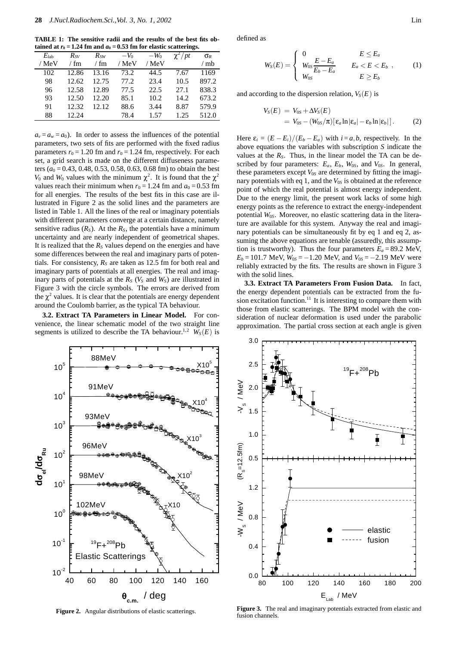**TABLE 1: The sensitive radii and the results of the best fits obtained at**  $r_0 = 1.24$  fm and  $a_0 = 0.53$  fm for elastic scatterings.

| $E_{\rm lab}$ | $R_{SV}$ | $R_{SW}$ | $-V_0$ | $-W_0$ | $\gamma^2$ / pt | $\sigma_R$ |
|---------------|----------|----------|--------|--------|-----------------|------------|
| / MeV         | / fm     | / fm     | / MeV  | / MeV  |                 | / mb       |
| 102           | 12.86    | 13.16    | 73.2   | 44.5   | 7.67            | 1169       |
| 98            | 12.62    | 12.75    | 77.2   | 23.4   | 10.5            | 897.2      |
| 96            | 12.58    | 12.89    | 77.5   | 22.5   | 27.1            | 838.3      |
| 93            | 12.50    | 12.20    | 85.1   | 10.2   | 14.2            | 673.2      |
| 91            | 12.32    | 12.12.   | 88.6   | 3.44   | 8.87            | 579.9      |
| 88            | 12.24    |          | 78.4   | 1.57   | 1.25            | 512.0      |

 $a_v = a_w = a_0$ ). In order to assess the influences of the potential parameters, two sets of fits are performed with the fixed radius parameters  $r_0 = 1.20$  fm and  $r_0 = 1.24$  fm, respectively. For each set, a grid search is made on the different diffuseness parameters ( $a_0$  = 0.43, 0.48, 0.53, 0.58, 0.63, 0.68 fm) to obtain the best *V*<sub>0</sub> and *W*<sub>0</sub> values with the minimum  $\chi^2$ . It is found that the  $\chi^2$ values reach their minimum when  $r_0 = 1.24$  fm and  $a_0 = 0.53$  fm for all energies. The results of the best fits in this case are illustrated in Figure 2 as the solid lines and the parameters are listed in Table 1. All the lines of the real or imaginary potentials with different parameters converge at a certain distance, namely sensitive radius  $(R<sub>S</sub>)$ . At the  $R<sub>S</sub>$ , the potentials have a minimum uncertainty and are nearly independent of geometrical shapes. It is realized that the  $R<sub>S</sub>$  values depend on the energies and have some differences between the real and imaginary parts of potentials. For consistency,  $R<sub>S</sub>$  are taken as 12.5 fm for both real and imaginary parts of potentials at all energies. The real and imaginary parts of potentials at the  $R_S$  ( $V_S$  and  $W_S$ ) are illustrated in Figure 3 with the circle symbols. The errors are derived from the  $\chi^2$  values. It is clear that the potentials are energy dependent around the Coulomb barrier, as the typical TA behaviour.

**3.2. Extract TA Parameters in Linear Model.** For convenience, the linear schematic model of the two straight line segments is utilized to describe the TA behaviour.<sup>1,2</sup>  $W<sub>S</sub>(E)$  is



**Figure 2.** Angular distributions of elastic scatterings.

<sup>θ</sup>**c.m.** / deg

defined as

$$
W_S(E) = \begin{cases} 0 & E \le E_a \\ W_{0S} \frac{E - E_a}{E_b - E_a} & E_a < E < E_b \\ W_{0S} & E \ge E_b \end{cases} \tag{1}
$$

and according to the dispersion relation,  $V_S(E)$  is

$$
V_S(E) = V_{0S} + \Delta V_S(E)
$$
  
=  $V_{0S} - (W_{0S}/\pi)[\epsilon_a \ln |\epsilon_a| - \epsilon_b \ln |\epsilon_b|].$  (2)

Here  $\varepsilon_i = (E - E_i)/(E_b - E_a)$  with  $i = a, b$ , respectively. In the above equations the variables with subscription *S* indicate the values at the  $R<sub>S</sub>$ . Thus, in the linear model the TA can be described by four parameters:  $E_a$ ,  $E_b$ ,  $W_{0S}$ , and  $V_{0S}$ . In general, these parameters except *V*0*<sup>S</sup>* are determined by fitting the imaginary potentials with eq 1, and the  $V_{0S}$  is obtained at the reference point of which the real potential is almost energy independent. Due to the energy limit, the present work lacks of some high energy points as the reference to extract the energy-independent potential *W*0*<sup>S</sup>*. Moreover, no elastic scattering data in the literature are available for this system. Anyway the real and imaginary potentials can be simultaneously fit by eq 1 and eq 2, assuming the above equations are tenable (assuredly, this assumption is trustworthy). Thus the four parameters  $E_a = 89.2$  MeV,  $E_b = 101.7$  MeV,  $W_{0S} = -1.20$  MeV, and  $V_{0S} = -2.19$  MeV were reliably extracted by the fits. The results are shown in Figure 3 with the solid lines.

**3.3. Extract TA Parameters From Fusion Data.** In fact, the energy dependent potentials can be extracted from the fusion excitation function.<sup>11</sup> It is interesting to compare them with those from elastic scatterings. The BPM model with the consideration of nuclear deformation is used under the parabolic approximation. The partial cross section at each angle is given



**Figure 3.** The real and imaginary potentials extracted from elastic and fusion channels.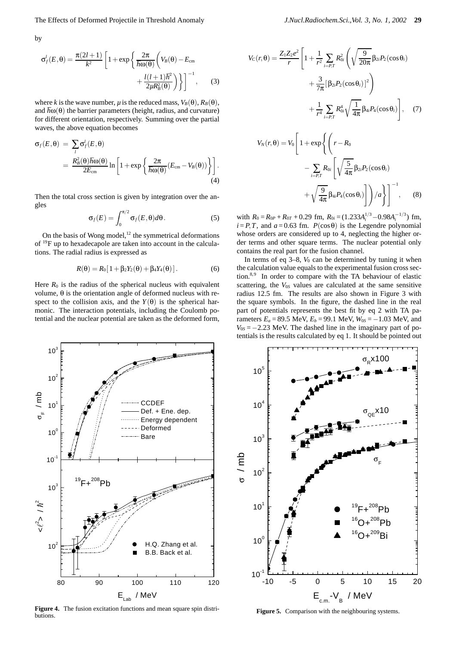by

$$
\sigma_f^l(E, \theta) = \frac{\pi(2l+1)}{k^2} \left[ 1 + \exp\left\{ \frac{2\pi}{\hbar \omega(\theta)} \left( V_B(\theta) - E_{\text{cm}} \right) + \frac{l(l+1)\hbar^2}{2\mu R_B^2(\theta)} \right) \right\} \Big]^{-1}, \quad (3)
$$

where *k* is the wave number, *µ* is the reduced mass,  $V_B(\theta)$ ,  $R_B(\theta)$ , and  $\hbar \omega(\theta)$  the barrier parameters (height, radius, and curvature) for different orientation, respectively. Summing over the partial waves, the above equation becomes

$$
\sigma_f(E, \theta) = \sum_l \sigma_f^l(E, \theta)
$$
  
= 
$$
\frac{R_B^2(\theta) \hbar \omega(\theta)}{2E_{\text{cm}}} \ln \left[ 1 + \exp \left\{ \frac{2\pi}{\hbar \omega(\theta)} (E_{\text{cm}} - V_B(\theta)) \right\} \right].
$$
 (4)

Then the total cross section is given by integration over the angles

$$
\sigma_f(E) = \int_0^{\pi/2} \sigma_f(E, \theta) d\theta.
$$
 (5)

On the basis of Wong model, $12$  the symmetrical deformations of 19F up to hexadecapole are taken into account in the calculations. The radial radius is expressed as

$$
R(\theta) = R_0[1 + \beta_2 Y_2(\theta) + \beta_4 Y_4(\theta)].
$$
 (6)

Here  $R_0$  is the radius of the spherical nucleus with equivalent volume, θ is the orientation angle of deformed nucleus with respect to the collision axis, and the  $Y(\theta)$  is the spherical harmonic. The interaction potentials, including the Coulomb potential and the nuclear potential are taken as the deformed form,



**Figure 4.** The fusion excitation functions and mean square spin distributions.

$$
V_C(r, \theta) = \frac{Z_1 Z_2 e^2}{r} \left[ 1 + \frac{1}{r^2} \sum_{i=P,T} R_{0i}^2 \left( \sqrt{\frac{9}{20\pi}} \beta_{2i} P_2(\cos \theta_i) + \frac{3}{7\pi} [\beta_{2i} P_2(\cos \theta_i)]^2 \right) + \frac{1}{r^4} \sum_{i=P,T} R_{0i}^4 \sqrt{\frac{1}{4\pi}} \beta_{4i} P_4(\cos \theta_i) \right], \quad (7)
$$

$$
V_N(r, \theta) = V_0 \left[ 1 + \exp \left\{ \left( r - R_0 \right) - \sum_{i=P, T} R_{0i} \left[ \sqrt{\frac{5}{4\pi}} \beta_{2i} P_2(\cos \theta_i) + \sqrt{\frac{9}{4\pi}} \beta_{4i} P_4(\cos \theta_i) \right] \right\} \right]^{-1}, \quad (8)
$$

with  $R_0 = R_{0P} + R_{0T} + 0.29$  fm,  $R_{0i} = (1.233A_i^{1/3} - 0.98A_i^{-1/3})$  fm,  $i = P, T$ , and  $a = 0.63$  fm.  $P(\cos \theta)$  is the Legendre polynomial whose orders are considered up to 4, neglecting the higher order terms and other square terms. The nuclear potential only contains the real part for the fusion channel.

In terms of eq  $3-8$ ,  $V_0$  can be determined by tuning it when the calculation value equals to the experimental fusion cross section.<sup>8,9</sup> In order to compare with the TA behaviour of elastic scattering, the  $V_{0S}$  values are calculated at the same sensitive radius 12.5 fm. The results are also shown in Figure 3 with the square symbols. In the figure, the dashed line in the real part of potentials represents the best fit by eq 2 with TA parameters  $E_a = 89.5 \text{ MeV}, E_b = 99.1 \text{ MeV}, W_{0S} = -1.03 \text{ MeV}, \text{ and}$  $V_{0S} = -2.23$  MeV. The dashed line in the imaginary part of potentials is the results calculated by eq 1. It should be pointed out



Figure 5. Comparison with the neighbouring systems.